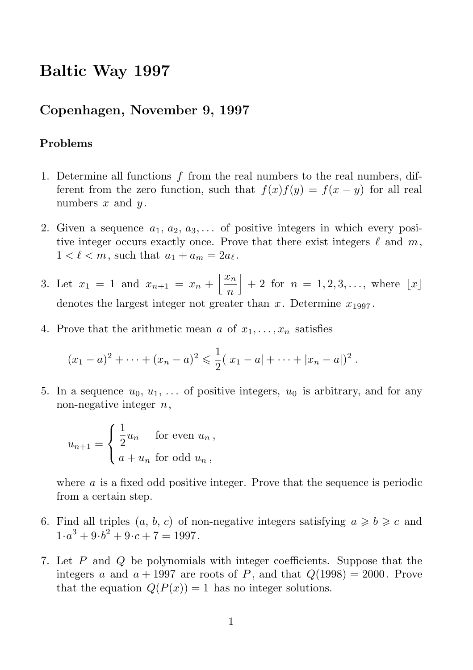# Baltic Way 1997

## Copenhagen, November 9, 1997

#### Problems

- 1. Determine all functions  $f$  from the real numbers to the real numbers, different from the zero function, such that  $f(x)f(y) = f(x - y)$  for all real numbers  $x$  and  $y$ .
- 2. Given a sequence  $a_1, a_2, a_3, \ldots$  of positive integers in which every positive integer occurs exactly once. Prove that there exist integers  $\ell$  and  $m$ ,  $1 < \ell < m$ , such that  $a_1 + a_m = 2a_\ell$ .
- 3. Let  $x_1 = 1$  and  $x_{n+1} = x_n + \left| \frac{x_n}{x_n} \right|$ n  $+ 2$  for  $n = 1, 2, 3, \ldots$ , where  $\lfloor x \rfloor$ denotes the largest integer not greater than x. Determine  $x_{1997}$ .
- 4. Prove that the arithmetic mean a of  $x_1, \ldots, x_n$  satisfies

$$
(x_1-a)^2 + \cdots + (x_n-a)^2 \leq \frac{1}{2}(|x_1-a| + \cdots + |x_n-a|)^2.
$$

5. In a sequence  $u_0, u_1, \ldots$  of positive integers,  $u_0$  is arbitrary, and for any non-negative integer  $n$ ,

$$
u_{n+1} = \begin{cases} \frac{1}{2}u_n & \text{for even } u_n, \\ a + u_n & \text{for odd } u_n, \end{cases}
$$

where a is a fixed odd positive integer. Prove that the sequence is periodic from a certain step.

- 6. Find all triples  $(a, b, c)$  of non-negative integers satisfying  $a \ge b \ge c$  and  $1 \cdot a^3 + 9 \cdot b^2 + 9 \cdot c + 7 = 1997.$
- 7. Let P and Q be polynomials with integer coefficients. Suppose that the integers a and  $a + 1997$  are roots of P, and that  $Q(1998) = 2000$ . Prove that the equation  $Q(P(x)) = 1$  has no integer solutions.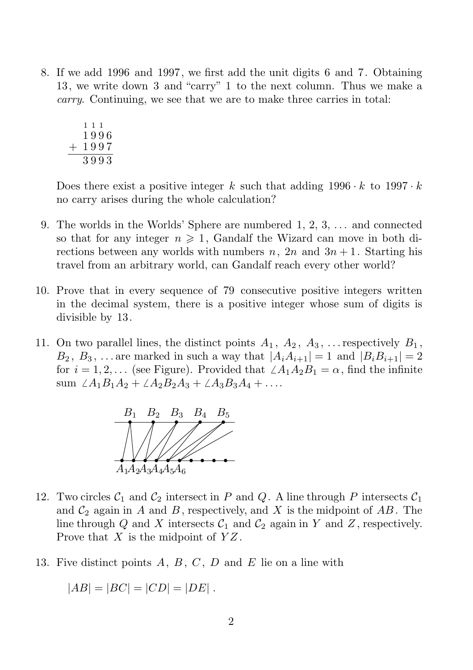8. If we add 1996 and 1997, we first add the unit digits 6 and 7. Obtaining 13, we write down 3 and "carry" 1 to the next column. Thus we make a carry. Continuing, we see that we are to make three carries in total:

$$
\begin{array}{c}\n 111 \\
1996 \\
+ 1997 \\
\hline\n 3993\n \end{array}
$$

Does there exist a positive integer k such that adding  $1996 \cdot k$  to  $1997 \cdot k$ no carry arises during the whole calculation?

- 9. The worlds in the Worlds' Sphere are numbered  $1, 2, 3, \ldots$  and connected so that for any integer  $n \geq 1$ , Gandalf the Wizard can move in both directions between any worlds with numbers  $n, 2n$  and  $3n + 1$ . Starting his travel from an arbitrary world, can Gandalf reach every other world?
- 10. Prove that in every sequence of 79 consecutive positive integers written in the decimal system, there is a positive integer whose sum of digits is divisible by 13.
- 11. On two parallel lines, the distinct points  $A_1, A_2, A_3, \ldots$  respectively  $B_1$ ,  $B_2, B_3, \ldots$  are marked in such a way that  $|A_iA_{i+1}| = 1$  and  $|B_iB_{i+1}| = 2$ for  $i = 1, 2, \ldots$  (see Figure). Provided that  $\angle A_1A_2B_1 = \alpha$ , find the infinite sum  $\angle A_1B_1A_2 + \angle A_2B_2A_3 + \angle A_3B_3A_4 + \ldots$



- 12. Two circles  $C_1$  and  $C_2$  intersect in P and Q. A line through P intersects  $C_1$ and  $\mathcal{C}_2$  again in A and B, respectively, and X is the midpoint of AB. The line through Q and X intersects  $C_1$  and  $C_2$  again in Y and Z, respectively. Prove that  $X$  is the midpoint of  $YZ$ .
- 13. Five distinct points  $A, B, C, D$  and  $E$  lie on a line with

$$
|AB| = |BC| = |CD| = |DE|.
$$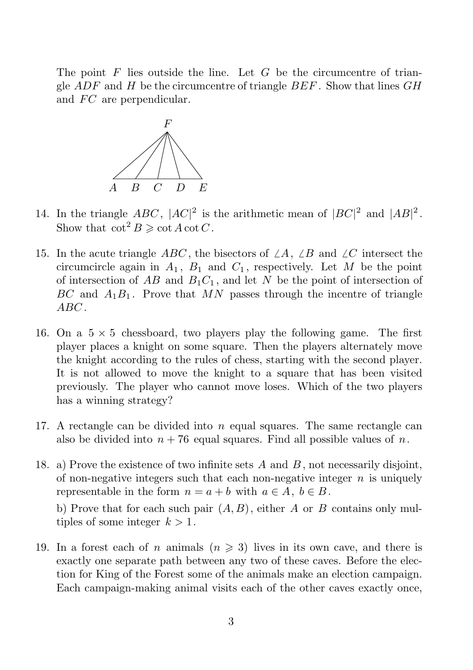The point  $F$  lies outside the line. Let  $G$  be the circumcentre of triangle  $ADF$  and H be the circumcentre of triangle  $BEF$ . Show that lines  $GH$ and FC are perpendicular.



- 14. In the triangle ABC,  $|AC|^2$  is the arithmetic mean of  $|BC|^2$  and  $|AB|^2$ . Show that  $\cot^2 B \geqslant \cot A \cot C$ .
- 15. In the acute triangle ABC, the bisectors of  $\angle A$ ,  $\angle B$  and  $\angle C$  intersect the circumcircle again in  $A_1$ ,  $B_1$  and  $C_1$ , respectively. Let M be the point of intersection of  $AB$  and  $B_1C_1$ , and let N be the point of intersection of  $BC$  and  $A_1B_1$ . Prove that MN passes through the incentre of triangle ABC .
- 16. On a  $5 \times 5$  chessboard, two players play the following game. The first player places a knight on some square. Then the players alternately move the knight according to the rules of chess, starting with the second player. It is not allowed to move the knight to a square that has been visited previously. The player who cannot move loses. Which of the two players has a winning strategy?
- 17. A rectangle can be divided into  $n$  equal squares. The same rectangle can also be divided into  $n + 76$  equal squares. Find all possible values of n.
- 18. a) Prove the existence of two infinite sets  $A$  and  $B$ , not necessarily disjoint, of non-negative integers such that each non-negative integer  $n$  is uniquely representable in the form  $n = a + b$  with  $a \in A, b \in B$ .

b) Prove that for each such pair  $(A, B)$ , either A or B contains only multiples of some integer  $k > 1$ .

19. In a forest each of n animals  $(n \geq 3)$  lives in its own cave, and there is exactly one separate path between any two of these caves. Before the election for King of the Forest some of the animals make an election campaign. Each campaign-making animal visits each of the other caves exactly once,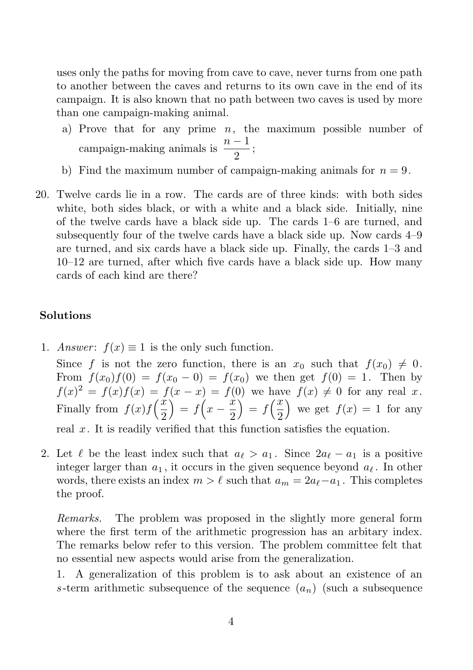uses only the paths for moving from cave to cave, never turns from one path to another between the caves and returns to its own cave in the end of its campaign. It is also known that no path between two caves is used by more than one campaign-making animal.

- a) Prove that for any prime  $n$ , the maximum possible number of campaign-making animals is  $\frac{n-1}{2}$  $\frac{1}{2}$ ;
- b) Find the maximum number of campaign-making animals for  $n = 9$ .
- 20. Twelve cards lie in a row. The cards are of three kinds: with both sides white, both sides black, or with a white and a black side. Initially, nine of the twelve cards have a black side up. The cards 1–6 are turned, and subsequently four of the twelve cards have a black side up. Now cards 4–9 are turned, and six cards have a black side up. Finally, the cards 1–3 and 10–12 are turned, after which five cards have a black side up. How many cards of each kind are there?

### Solutions

1. Answer:  $f(x) \equiv 1$  is the only such function.

Since f is not the zero function, there is an  $x_0$  such that  $f(x_0) \neq 0$ . From  $f(x_0)f(0) = f(x_0 - 0) = f(x_0)$  we then get  $f(0) = 1$ . Then by  $f(x)^{2} = f(x)f(x) = f(x - x) = f(0)$  we have  $f(x) \neq 0$  for any real x. Finally from  $f(x)f\left(\frac{x}{2}\right)$ 2  $\int = f\left(x - \frac{\dot{x}}{2}\right)$ 2  $\int f\left(\frac{x}{2}\right)$ 2 ) we get  $f(x) = 1$  for any

real  $x$ . It is readily verified that this function satisfies the equation.

2. Let  $\ell$  be the least index such that  $a_{\ell} > a_1$ . Since  $2a_{\ell} - a_1$  is a positive integer larger than  $a_1$ , it occurs in the given sequence beyond  $a_\ell$ . In other words, there exists an index  $m > \ell$  such that  $a_m = 2a_{\ell} - a_1$ . This completes the proof.

Remarks. The problem was proposed in the slightly more general form where the first term of the arithmetic progression has an arbitary index. The remarks below refer to this version. The problem committee felt that no essential new aspects would arise from the generalization.

1. A generalization of this problem is to ask about an existence of an s-term arithmetic subsequence of the sequence  $(a_n)$  (such a subsequence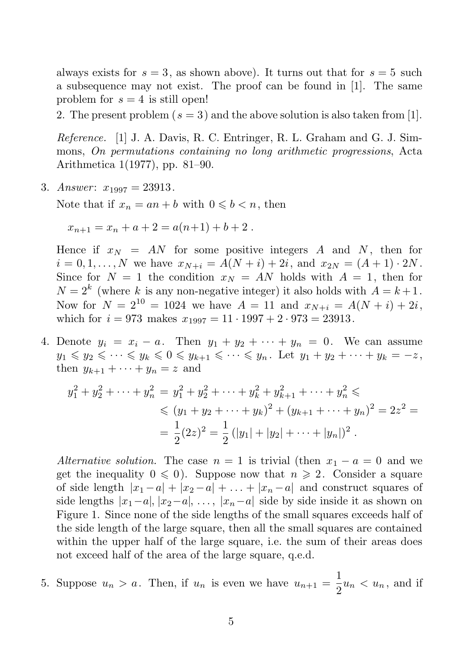always exists for  $s = 3$ , as shown above). It turns out that for  $s = 5$  such a subsequence may not exist. The proof can be found in [1]. The same problem for  $s = 4$  is still open!

2. The present problem ( $s = 3$ ) and the above solution is also taken from [1].

Reference. [1] J. A. Davis, R. C. Entringer, R. L. Graham and G. J. Simmons, On permutations containing no long arithmetic progressions, Acta Arithmetica 1(1977), pp. 81–90.

3. Answer:  $x_{1997} = 23913$ .

Note that if  $x_n = an + b$  with  $0 \leq b \leq n$ , then

$$
x_{n+1} = x_n + a + 2 = a(n+1) + b + 2.
$$

Hence if  $x_N = AN$  for some positive integers A and N, then for  $i = 0, 1, \ldots, N$  we have  $x_{N+i} = A(N+i) + 2i$ , and  $x_{2N} = (A+1) \cdot 2N$ . Since for  $N = 1$  the condition  $x_N = AN$  holds with  $A = 1$ , then for  $N = 2<sup>k</sup>$  (where k is any non-negative integer) it also holds with  $A = k + 1$ . Now for  $N = 2^{10} = 1024$  we have  $A = 11$  and  $x_{N+i} = A(N+i) + 2i$ , which for  $i = 973$  makes  $x_{1997} = 11 \cdot 1997 + 2 \cdot 973 = 23913$ .

4. Denote  $y_i = x_i - a$ . Then  $y_1 + y_2 + \cdots + y_n = 0$ . We can assume  $y_1 \leqslant y_2 \leqslant \cdots \leqslant y_k \leqslant 0 \leqslant y_{k+1} \leqslant \cdots \leqslant y_n$ . Let  $y_1 + y_2 + \cdots + y_k = -z$ , then  $y_{k+1} + \cdots + y_n = z$  and

$$
y_1^2 + y_2^2 + \dots + y_n^2 = y_1^2 + y_2^2 + \dots + y_k^2 + y_{k+1}^2 + \dots + y_n^2 \le
$$
  
\n
$$
\leq (y_1 + y_2 + \dots + y_k)^2 + (y_{k+1} + \dots + y_n)^2 = 2z^2 =
$$
  
\n
$$
= \frac{1}{2}(2z)^2 = \frac{1}{2}(|y_1| + |y_2| + \dots + |y_n|)^2.
$$

Alternative solution. The case  $n = 1$  is trivial (then  $x_1 - a = 0$  and we get the inequality  $0 \leq 0$ . Suppose now that  $n \geq 2$ . Consider a square of side length  $|x_1 - a| + |x_2 - a| + \ldots + |x_n - a|$  and construct squares of side lengths  $|x_1-a|, |x_2-a|, \ldots, |x_n-a|$  side by side inside it as shown on Figure 1. Since none of the side lengths of the small squares exceeds half of the side length of the large square, then all the small squares are contained within the upper half of the large square, i.e. the sum of their areas does not exceed half of the area of the large square, q.e.d.

5. Suppose  $u_n > a$ . Then, if  $u_n$  is even we have  $u_{n+1} = \frac{1}{2}$  $\frac{1}{2}u_n < u_n$ , and if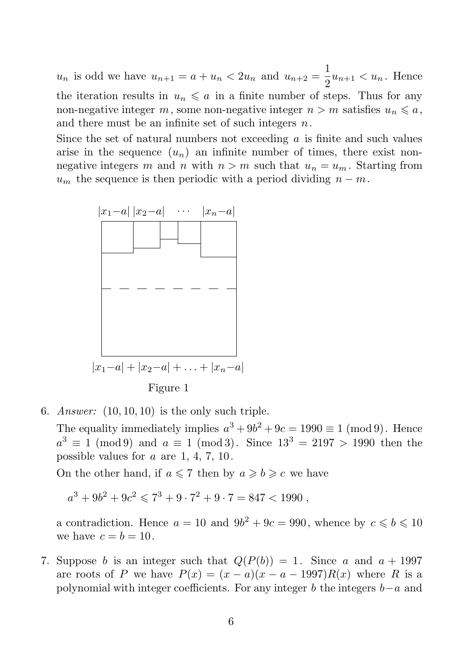$u_n$  is odd we have  $u_{n+1} = a + u_n < 2u_n$  and  $u_{n+2} = \frac{1}{2}$  $\frac{1}{2}u_{n+1} < u_n$ . Hence the iteration results in  $u_n \leq a$  in a finite number of steps. Thus for any non-negative integer m, some non-negative integer  $n > m$  satisfies  $u_n \leq a$ , and there must be an infinite set of such integers  $n$ .

Since the set of natural numbers not exceeding  $a$  is finite and such values arise in the sequence  $(u_n)$  an infinite number of times, there exist nonnegative integers m and n with  $n > m$  such that  $u_n = u_m$ . Starting from  $u_m$  the sequence is then periodic with a period dividing  $n - m$ .



6. Answer:  $(10, 10, 10)$  is the only such triple.

The equality immediately implies  $a^3 + 9b^2 + 9c = 1990 \equiv 1 \pmod{9}$ . Hence  $a^3 \equiv 1 \pmod{9}$  and  $a \equiv 1 \pmod{3}$ . Since  $13^3 = 2197 > 1990$  then the possible values for a are 1, 4, 7, 10.

On the other hand, if  $a \le 7$  then by  $a \ge b \ge c$  we have

 $a^3 + 9b^2 + 9c^2 \leqslant 7^3 + 9 \cdot 7^2 + 9 \cdot 7 = 847 < 1990$ ,

a contradiction. Hence  $a = 10$  and  $9b^2 + 9c = 990$ , whence by  $c \le b \le 10$ we have  $c = b = 10$ .

7. Suppose b is an integer such that  $Q(P(b)) = 1$ . Since a and  $a + 1997$ are roots of P we have  $P(x) = (x - a)(x - a - 1997)R(x)$  where R is a polynomial with integer coefficients. For any integer b the integers  $b-a$  and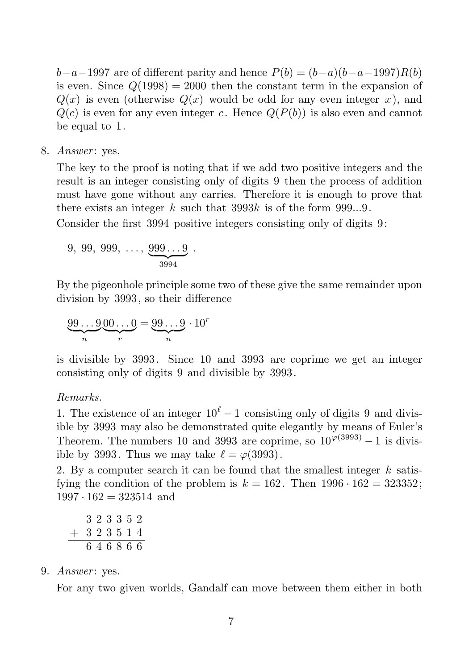$b-a-1997$  are of different parity and hence  $P(b) = (b-a)(b-a-1997)R(b)$ is even. Since  $Q(1998) = 2000$  then the constant term in the expansion of  $Q(x)$  is even (otherwise  $Q(x)$  would be odd for any even integer x), and  $Q(c)$  is even for any even integer c. Hence  $Q(P(b))$  is also even and cannot be equal to 1.

8. Answer: yes.

The key to the proof is noting that if we add two positive integers and the result is an integer consisting only of digits 9 then the process of addition must have gone without any carries. Therefore it is enough to prove that there exists an integer k such that  $3993k$  is of the form  $999...9$ .

Consider the first 3994 positive integers consisting only of digits 9:

9, 99, 999, ..., 
$$
\underbrace{999...9}_{3994}
$$
.

By the pigeonhole principle some two of these give the same remainder upon division by 3993, so their difference

$$
\underbrace{99\ldots 9}_{n}\underbrace{00\ldots 0}_{r} = \underbrace{99\ldots 9}_{n}\cdot 10^{r}
$$

is divisible by 3993. Since 10 and 3993 are coprime we get an integer consisting only of digits 9 and divisible by 3993.

#### Remarks.

1. The existence of an integer  $10^{\ell} - 1$  consisting only of digits 9 and divisible by 3993 may also be demonstrated quite elegantly by means of Euler's Theorem. The numbers 10 and 3993 are coprime, so  $10^{\varphi(3993)} - 1$  is divisible by 3993. Thus we may take  $\ell = \varphi(3993)$ .

2. By a computer search it can be found that the smallest integer  $k$  satisfying the condition of the problem is  $k = 162$ . Then  $1996 \cdot 162 = 323352$ ;  $1997 \cdot 162 = 323514$  and

$$
\begin{array}{r} 3\ 2\ 3\ 3\ 5\ 2 \\ +\ 3\ 2\ 3\ 5\ 1\ 4 \\ \hline 6\ 4\ 6\ 8\ 6\ 6 \end{array}
$$

#### 9. Answer: yes.

For any two given worlds, Gandalf can move between them either in both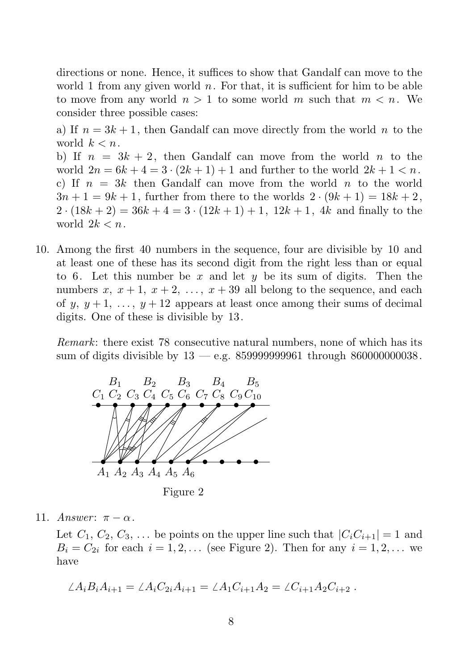directions or none. Hence, it suffices to show that Gandalf can move to the world 1 from any given world  $n$ . For that, it is sufficient for him to be able to move from any world  $n > 1$  to some world m such that  $m < n$ . We consider three possible cases:

a) If  $n = 3k + 1$ , then Gandalf can move directly from the world n to the world  $k < n$ .

b) If  $n = 3k + 2$ , then Gandalf can move from the world n to the world  $2n = 6k + 4 = 3 \cdot (2k + 1) + 1$  and further to the world  $2k + 1 < n$ . c) If  $n = 3k$  then Gandalf can move from the world n to the world  $3n + 1 = 9k + 1$ , further from there to the worlds  $2 \cdot (9k + 1) = 18k + 2$ ,  $2 \cdot (18k + 2) = 36k + 4 = 3 \cdot (12k + 1) + 1$ ,  $12k + 1$ ,  $4k$  and finally to the world  $2k < n$ .

10. Among the first 40 numbers in the sequence, four are divisible by 10 and at least one of these has its second digit from the right less than or equal to 6. Let this number be x and let y be its sum of digits. Then the numbers x,  $x + 1$ ,  $x + 2$ , ...,  $x + 39$  all belong to the sequence, and each of y,  $y + 1$ , ...,  $y + 12$  appears at least once among their sums of decimal digits. One of these is divisible by 13.

Remark: there exist 78 consecutive natural numbers, none of which has its sum of digits divisible by 13 — e.g. 859999999961 through 860000000038.



Figure 2

11. Answer:  $\pi - \alpha$ .

Let  $C_1, C_2, C_3, \ldots$  be points on the upper line such that  $|C_iC_{i+1}| = 1$  and  $B_i = C_{2i}$  for each  $i = 1, 2, \ldots$  (see Figure 2). Then for any  $i = 1, 2, \ldots$  we have

$$
\angle A_i B_i A_{i+1} = \angle A_i C_{2i} A_{i+1} = \angle A_1 C_{i+1} A_2 = \angle C_{i+1} A_2 C_{i+2} .
$$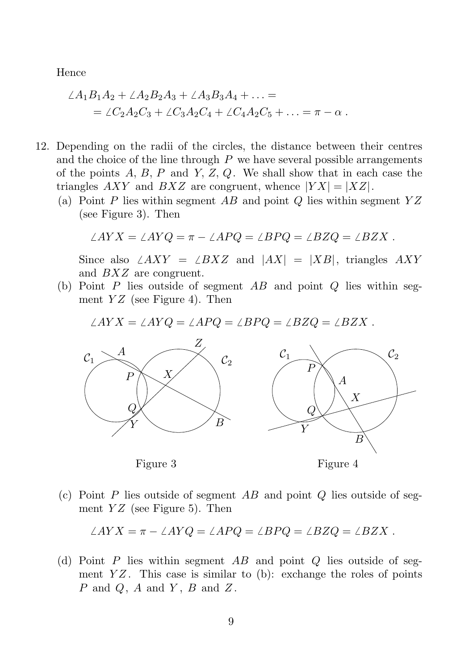Hence

$$
\angle A_1B_1A_2 + \angle A_2B_2A_3 + \angle A_3B_3A_4 + \dots =
$$
  
=  $\angle C_2A_2C_3 + \angle C_3A_2C_4 + \angle C_4A_2C_5 + \dots = \pi - \alpha$ .

- 12. Depending on the radii of the circles, the distance between their centres and the choice of the line through  $P$  we have several possible arrangements of the points  $A, B, P$  and  $Y, Z, Q$ . We shall show that in each case the triangles AXY and BXZ are congruent, whence  $|YX| = |XZ|$ .
	- (a) Point P lies within segment AB and point Q lies within segment  $YZ$ (see Figure 3). Then

$$
\angle AYX = \angle AYQ = \pi - \angle APQ = \angle BPQ = \angle BZQ = \angle BZX.
$$

Since also  $\angle AXY = \angle BXZ$  and  $|AX| = |XB|$ , triangles  $AXY$ and BXZ are congruent.

(b) Point P lies outside of segment  $AB$  and point Q lies within segment  $YZ$  (see Figure 4). Then

rag replacements  $\angle AYX = \angle AYQ = \angle APQ = \angle BPQ = \angle BZQ = \angle BZX$ .



Figure 3 Figure 4

(c) Point  $P$  lies outside of segment  $AB$  and point  $Q$  lies outside of segment  $YZ$  (see Figure 5). Then

$$
\angle AYX = \pi - \angle AYQ = \angle APQ = \angle BPQ = \angle BZQ = \angle BZX.
$$

(d) Point P lies within segment AB and point Q lies outside of segment  $YZ$ . This case is similar to (b): exchange the roles of points  $P$  and  $Q$ ,  $A$  and  $Y$ ,  $B$  and  $Z$ .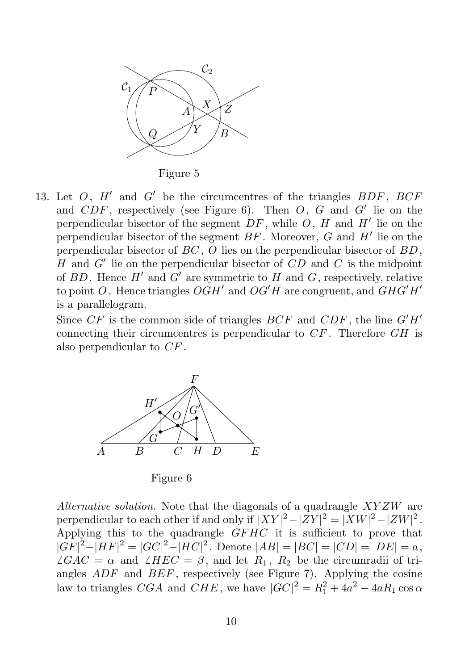

Figure 5

13. Let  $O$ ,  $H'$  and  $G'$  be the circumcentres of the triangles  $BDF$ ,  $BCF$ and  $CDF$ , respectively (see Figure 6). Then  $O, G$  and  $G'$  lie on the perpendicular bisector of the segment  $DF$ , while  $O$ ,  $H$  and  $H'$  lie on the perpendicular bisector of the segment  $BF$ . Moreover,  $G$  and  $H'$  lie on the perpendicular bisector of  $BC$ , O lies on the perpendicular bisector of  $BD$ ,  $H$  and  $G'$  lie on the perpendicular bisector of  $CD$  and  $C$  is the midpoint of  $BD$ . Hence  $H'$  and  $G'$  are symmetric to  $H$  and  $G$ , respectively, relative to point O. Hence triangles  $OGH'$  and  $OG'H$  are congruent, and  $GHG'H'$ is a parallelogram.

Since  $CF$  is the common side of triangles  $BCF$  and  $CDF$ , the line  $G'H'$ connecting their circumcentres is perpendicular to  $CF$ . Therefore  $GH$  is also perpendicular to CF .



Figure 6

Alternative solution. Note that the diagonals of a quadrangle  $XYZW$  are perpendicular to each other if and only if  $|XY|^2 - |ZY|^2 = |XW|^2 - |ZW|^2$ . Applying this to the quadrangle  $GFHC$  it is sufficient to prove that  $|GF|^2 - |HF|^2 = |GC|^2 - |HC|^2$ . Denote  $|AB| = |BC| = |CD| = |DE| = a$ ,  $\angle GAC = \alpha$  and  $\angle HEC = \beta$ , and let  $R_1$ ,  $R_2$  be the circumradii of triangles  $ADF$  and  $BEF$ , respectively (see Figure 7). Applying the cosine law to triangles  $CGA$  and  $CHE$ , we have  $|GC|^2 = R_1^2 + 4a^2 - 4aR_1 \cos \alpha$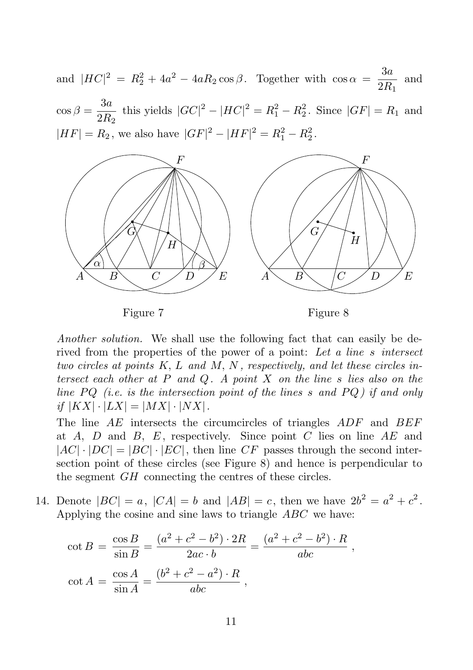replacements



Another solution. We shall use the following fact that can easily be derived from the properties of the power of a point: Let a line s intersect two circles at points  $K, L$  and  $M, N$ , respectively, and let these circles intersect each other at  $P$  and  $Q$ . A point  $X$  on the line  $s$  lies also on the line  $PQ$  (i.e. is the intersection point of the lines s and  $PQ$ ) if and only if  $|KX| \cdot |LX| = |MX| \cdot |NX|$ .

The line AE intersects the circumcircles of triangles ADF and BEF at A, D and B, E, respectively. Since point C lies on line  $AE$  and  $|AC| \cdot |DC| = |BC| \cdot |EC|$ , then line CF passes through the second intersection point of these circles (see Figure 8) and hence is perpendicular to the segment GH connecting the centres of these circles.

14. Denote  $|BC| = a$ ,  $|CA| = b$  and  $|AB| = c$ , then we have  $2b^2 = a^2 + c^2$ . Applying the cosine and sine laws to triangle ABC we have:

$$
\cot B = \frac{\cos B}{\sin B} = \frac{(a^2 + c^2 - b^2) \cdot 2R}{2ac \cdot b} = \frac{(a^2 + c^2 - b^2) \cdot R}{abc},
$$
  

$$
\cot A = \frac{\cos A}{\sin A} = \frac{(b^2 + c^2 - a^2) \cdot R}{abc},
$$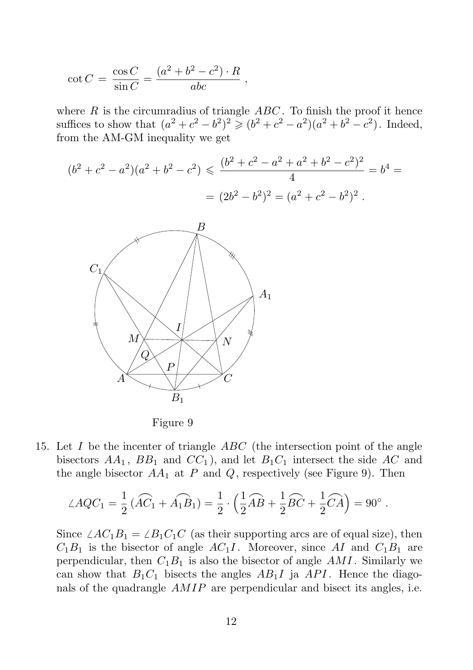$$
\cot C = \frac{\cos C}{\sin C} = \frac{(a^2 + b^2 - c^2) \cdot R}{abc} ,
$$

where  $R$  is the circumradius of triangle  $ABC$ . To finish the proof it hence Strag replacement its to show that  $(a^2+c^2-b^2)^2 \geqslant (b^2+c^2-a^2)(a^2+b^2-c^2)$ . Indeed, from  $A$ he AM-GM inequality we get



Figure 9

15. Let  $I$  be the incenter of triangle  $ABC$  (the intersection point of the angle bisectors  $AA_1$ ,  $BB_1$  and  $CC_1$ ), and let  $B_1C_1$  intersect the side AC and the angle bisector  $AA_1$  at P and Q, respectively (see Figure 9). Then

$$
\angle AQC_1 = \frac{1}{2} (\widehat{AC}_1 + \widehat{A_1B_1}) = \frac{1}{2} \cdot (\frac{1}{2} \widehat{AB} + \frac{1}{2} \widehat{BC} + \frac{1}{2} \widehat{CA}) = 90^\circ.
$$

Since  $\angle AC_1B_1 = \angle B_1C_1C$  (as their supporting arcs are of equal size), then  $C_1B_1$  is the bisector of angle  $AC_1I$ . Moreover, since AI and  $C_1B_1$  are perpendicular, then  $C_1B_1$  is also the bisector of angle AMI. Similarly we can show that  $B_1C_1$  bisects the angles  $AB_1I$  ja  $API$ . Hence the diagonals of the quadrangle AMIP are perpendicular and bisect its angles, i.e.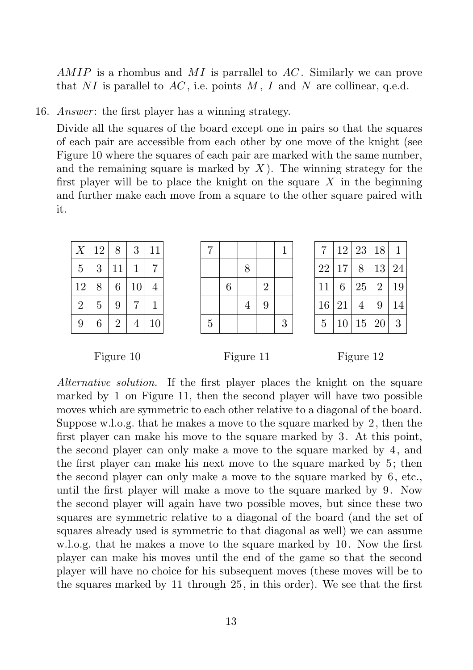AMIP is a rhombus and MI is parrallel to  $AC$ . Similarly we can prove that NI is parallel to  $AC$ , i.e. points M, I and N are collinear, q.e.d.

16. *Answer*: the first player has a winning strategy.

Divide all the squares of the board except one in pairs so that the squares of each pair are accessible from each other by one move of the knight (see Figure 10 where the squares of each pair are marked with the same number, and the remaining square is marked by  $X$ ). The winning strategy for the first player will be to place the knight on the square  $X$  in the beginning and further make each move from a square to the other square paired with it.

| $\boldsymbol{X}$ | 12             | 8              | 3  | 11 |
|------------------|----------------|----------------|----|----|
| $\bf 5$          | 3              | 11             |    |    |
| 12               | 8              | 6              | 10 | 4  |
| $\overline{2}$   | $\overline{5}$ | 9              |    |    |
| 9                | 6              | $\overline{2}$ |    | 10 |

| 7              |   |                |                | 1 |
|----------------|---|----------------|----------------|---|
|                |   | 8              |                |   |
|                | 6 |                | $\overline{2}$ |   |
|                |   | $\overline{4}$ | 9              |   |
| $\overline{5}$ |   |                |                | 3 |

| 7  | 12 | 23 | 18             | 1  |
|----|----|----|----------------|----|
| 22 | 17 | 8  | 13             | 24 |
| 11 | 6  | 25 | $\overline{2}$ | 19 |
| 16 | 21 | 4  | 9              | 14 |
| 5  | 10 | 15 | 20             | 3  |

Figure 10 Figure 11 Figure 12

Alternative solution. If the first player places the knight on the square marked by 1 on Figure 11, then the second player will have two possible moves which are symmetric to each other relative to a diagonal of the board. Suppose w.l.o.g. that he makes a move to the square marked by 2, then the first player can make his move to the square marked by 3. At this point, the second player can only make a move to the square marked by 4, and the first player can make his next move to the square marked by 5; then the second player can only make a move to the square marked by 6, etc., until the first player will make a move to the square marked by 9. Now the second player will again have two possible moves, but since these two squares are symmetric relative to a diagonal of the board (and the set of squares already used is symmetric to that diagonal as well) we can assume w.l.o.g. that he makes a move to the square marked by 10. Now the first player can make his moves until the end of the game so that the second player will have no choice for his subsequent moves (these moves will be to the squares marked by 11 through 25, in this order). We see that the first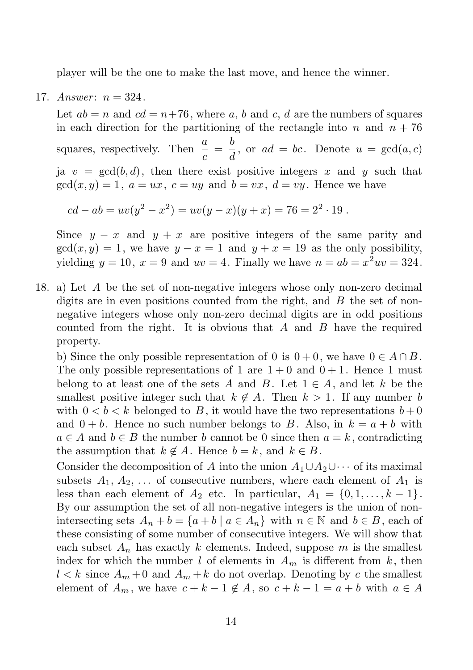player will be the one to make the last move, and hence the winner.

17. Answer:  $n = 324$ .

Let  $ab = n$  and  $cd = n+76$ , where a, b and c, d are the numbers of squares in each direction for the partitioning of the rectangle into n and  $n + 76$ squares, respectively. Then  $\frac{a}{c} = \frac{b}{d}$  $\frac{d}{d}$ , or  $ad = bc$ . Denote  $u = \gcd(a, c)$ ja  $v = \gcd(b, d)$ , then there exist positive integers x and y such that  $gcd(x, y) = 1$ ,  $a = ux$ ,  $c = uy$  and  $b = vx$ ,  $d = vy$ . Hence we have

$$
cd - ab = uv(y2 – x2) = uv(y – x)(y + x) = 76 = 22 · 19.
$$

Since  $y - x$  and  $y + x$  are positive integers of the same parity and  $gcd(x, y) = 1$ , we have  $y - x = 1$  and  $y + x = 19$  as the only possibility, yielding  $y = 10$ ,  $x = 9$  and  $uv = 4$ . Finally we have  $n = ab = x^2uv = 324$ .

18. a) Let A be the set of non-negative integers whose only non-zero decimal digits are in even positions counted from the right, and  $B$  the set of nonnegative integers whose only non-zero decimal digits are in odd positions counted from the right. It is obvious that  $A$  and  $B$  have the required property.

b) Since the only possible representation of 0 is  $0 + 0$ , we have  $0 \in A \cap B$ . The only possible representations of 1 are  $1+0$  and  $0+1$ . Hence 1 must belong to at least one of the sets A and B. Let  $1 \in A$ , and let k be the smallest positive integer such that  $k \notin A$ . Then  $k > 1$ . If any number b with  $0 < b < k$  belonged to B, it would have the two representations  $b+0$ and  $0 + b$ . Hence no such number belongs to B. Also, in  $k = a + b$  with  $a \in A$  and  $b \in B$  the number b cannot be 0 since then  $a = k$ , contradicting the assumption that  $k \notin A$ . Hence  $b = k$ , and  $k \in B$ .

Consider the decomposition of A into the union  $A_1 \cup A_2 \cup \cdots$  of its maximal subsets  $A_1, A_2, \ldots$  of consecutive numbers, where each element of  $A_1$  is less than each element of  $A_2$  etc. In particular,  $A_1 = \{0, 1, \ldots, k-1\}.$ By our assumption the set of all non-negative integers is the union of nonintersecting sets  $A_n + b = \{a + b \mid a \in A_n\}$  with  $n \in \mathbb{N}$  and  $b \in B$ , each of these consisting of some number of consecutive integers. We will show that each subset  $A_n$  has exactly k elements. Indeed, suppose m is the smallest index for which the number l of elements in  $A_m$  is different from k, then  $l < k$  since  $A_m + 0$  and  $A_m + k$  do not overlap. Denoting by c the smallest element of  $A_m$ , we have  $c + k - 1 \notin A$ , so  $c + k - 1 = a + b$  with  $a \in A$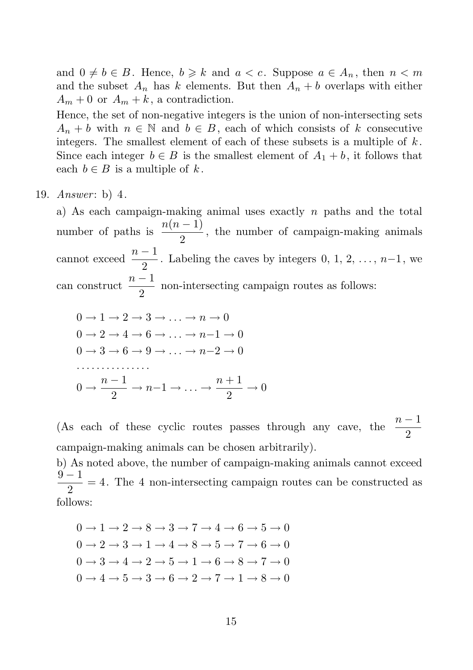and  $0 \neq b \in B$ . Hence,  $b \geq k$  and  $a < c$ . Suppose  $a \in A_n$ , then  $n < m$ and the subset  $A_n$  has k elements. But then  $A_n + b$  overlaps with either  $A_m + 0$  or  $A_m + k$ , a contradiction.

Hence, the set of non-negative integers is the union of non-intersecting sets  $A_n + b$  with  $n \in \mathbb{N}$  and  $b \in B$ , each of which consists of k consecutive integers. The smallest element of each of these subsets is a multiple of  $k$ . Since each integer  $b \in B$  is the smallest element of  $A_1 + b$ , it follows that each  $b \in B$  is a multiple of k.

19. *Answer*: b) 4.

a) As each campaign-making animal uses exactly  $n$  paths and the total number of paths is  $\frac{n(n-1)}{2}$  $\frac{1}{2}$ , the number of campaign-making animals cannot exceed  $\frac{n-1}{2}$ . Labeling the caves by integers 0, 1, 2, ..., n-1, we can construct  $\frac{n-1}{2}$  $\frac{1}{2}$  non-intersecting campaign routes as follows:

$$
0 \rightarrow 1 \rightarrow 2 \rightarrow 3 \rightarrow \dots \rightarrow n \rightarrow 0
$$
  
\n
$$
0 \rightarrow 2 \rightarrow 4 \rightarrow 6 \rightarrow \dots \rightarrow n-1 \rightarrow 0
$$
  
\n
$$
0 \rightarrow 3 \rightarrow 6 \rightarrow 9 \rightarrow \dots \rightarrow n-2 \rightarrow 0
$$
  
\n
$$
\dots \dots \dots
$$
  
\n
$$
0 \rightarrow \frac{n-1}{2} \rightarrow n-1 \rightarrow \dots \rightarrow \frac{n+1}{2} \rightarrow 0
$$

(As each of these cyclic routes passes through any cave, the  $\frac{n-1}{2}$ campaign-making animals can be chosen arbitrarily).

b) As noted above, the number of campaign-making animals cannot exceed  $9 - 1$  $\frac{1}{2}$  = 4. The 4 non-intersecting campaign routes can be constructed as follows:

 $0 \rightarrow 1 \rightarrow 2 \rightarrow 8 \rightarrow 3 \rightarrow 7 \rightarrow 4 \rightarrow 6 \rightarrow 5 \rightarrow 0$  $0 \rightarrow 2 \rightarrow 3 \rightarrow 1 \rightarrow 4 \rightarrow 8 \rightarrow 5 \rightarrow 7 \rightarrow 6 \rightarrow 0$  $0 \rightarrow 3 \rightarrow 4 \rightarrow 2 \rightarrow 5 \rightarrow 1 \rightarrow 6 \rightarrow 8 \rightarrow 7 \rightarrow 0$  $0 \rightarrow 4 \rightarrow 5 \rightarrow 3 \rightarrow 6 \rightarrow 2 \rightarrow 7 \rightarrow 1 \rightarrow 8 \rightarrow 0$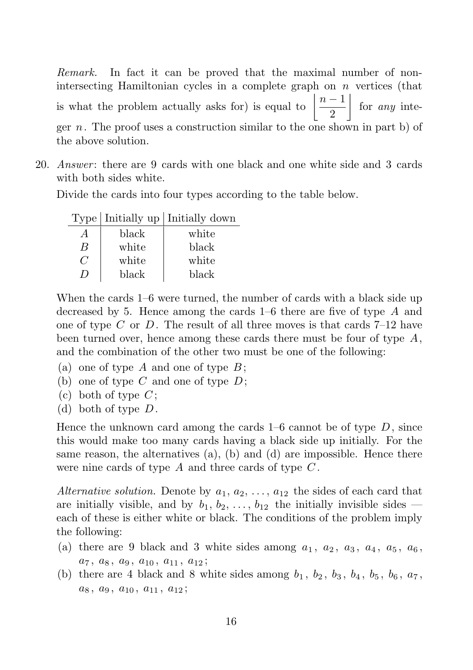Remark. In fact it can be proved that the maximal number of nonintersecting Hamiltonian cycles in a complete graph on  $n$  vertices (that is what the problem actually asks for) is equal to  $\left| \frac{n-1}{2} \right|$ 2  $\Big|$  for *any* integer n. The proof uses a construction similar to the one shown in part b) of the above solution.

20. Answer: there are 9 cards with one black and one white side and 3 cards with both sides white.

Divide the cards into four types according to the table below.

|                |       | Type Initially up Initially down |
|----------------|-------|----------------------------------|
| $\overline{A}$ | black | white                            |
| B              | white | black                            |
| $\epsilon$     | white | white                            |
| $\prime$       | black | black                            |

When the cards 1–6 were turned, the number of cards with a black side up decreased by 5. Hence among the cards 1–6 there are five of type A and one of type  $C$  or  $D$ . The result of all three moves is that cards  $7-12$  have been turned over, hence among these cards there must be four of type  $A$ , and the combination of the other two must be one of the following:

- (a) one of type  $A$  and one of type  $B$ ;
- (b) one of type  $C$  and one of type  $D$ ;
- (c) both of type  $C$ ;
- (d) both of type D.

Hence the unknown card among the cards  $1-6$  cannot be of type  $D$ , since this would make too many cards having a black side up initially. For the same reason, the alternatives  $(a)$ ,  $(b)$  and  $(d)$  are impossible. Hence there were nine cards of type  $A$  and three cards of type  $C$ .

Alternative solution. Denote by  $a_1, a_2, \ldots, a_{12}$  the sides of each card that are initially visible, and by  $b_1, b_2, \ldots, b_{12}$  the initially invisible sides each of these is either white or black. The conditions of the problem imply the following:

- (a) there are 9 black and 3 white sides among  $a_1, a_2, a_3, a_4, a_5, a_6$ ,  $a_7, a_8, a_9, a_{10}, a_{11}, a_{12};$
- (b) there are 4 black and 8 white sides among  $b_1$ ,  $b_2$ ,  $b_3$ ,  $b_4$ ,  $b_5$ ,  $b_6$ ,  $a_7$ ,  $a_8, a_9, a_{10}, a_{11}, a_{12};$